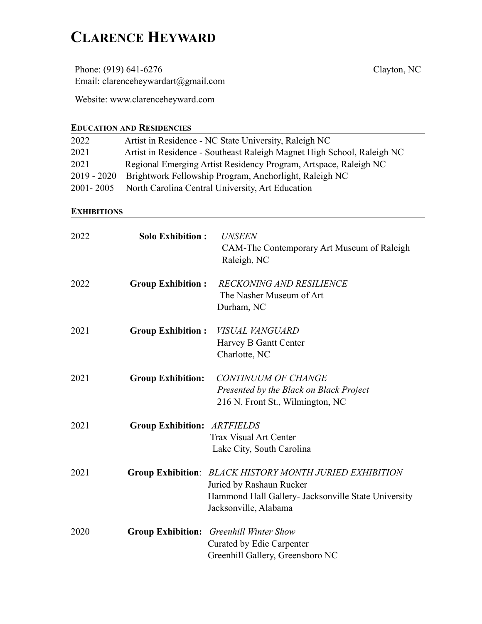# **CLARENCE HEYWARD**

Phone: (919) 641-6276 Email: clarenceheywardart@gmail.com

Website: www.clarenceheyward.com

## **EDUCATION AND RESIDENCIES**

| Artist in Residence - NC State University, Raleigh NC                  |  |  |  |  |
|------------------------------------------------------------------------|--|--|--|--|
| Artist in Residence - Southeast Raleigh Magnet High School, Raleigh NC |  |  |  |  |
| Regional Emerging Artist Residency Program, Artspace, Raleigh NC       |  |  |  |  |
| Brightwork Fellowship Program, Anchorlight, Raleigh NC                 |  |  |  |  |
| North Carolina Central University, Art Education                       |  |  |  |  |
|                                                                        |  |  |  |  |

#### **EXHIBITIONS**

| 2022 | <b>Solo Exhibition:</b>            | <b>UNSEEN</b><br>CAM-The Contemporary Art Museum of Raleigh<br>Raleigh, NC                                                                                          |
|------|------------------------------------|---------------------------------------------------------------------------------------------------------------------------------------------------------------------|
| 2022 | <b>Group Exhibition:</b>           | <b>RECKONING AND RESILIENCE</b><br>The Nasher Museum of Art<br>Durham, NC                                                                                           |
| 2021 | <b>Group Exhibition:</b>           | VISUAL VANGUARD<br>Harvey B Gantt Center<br>Charlotte, NC                                                                                                           |
| 2021 | <b>Group Exhibition:</b>           | <b>CONTINUUM OF CHANGE</b><br>Presented by the Black on Black Project<br>216 N. Front St., Wilmington, NC                                                           |
| 2021 | <b>Group Exhibition: ARTFIELDS</b> | <b>Trax Visual Art Center</b><br>Lake City, South Carolina                                                                                                          |
| 2021 |                                    | Group Exhibition: BLACK HISTORY MONTH JURIED EXHIBITION<br>Juried by Rashaun Rucker<br>Hammond Hall Gallery- Jacksonville State University<br>Jacksonville, Alabama |
| 2020 |                                    | <b>Group Exhibition:</b> Greenhill Winter Show<br>Curated by Edie Carpenter<br>Greenhill Gallery, Greensboro NC                                                     |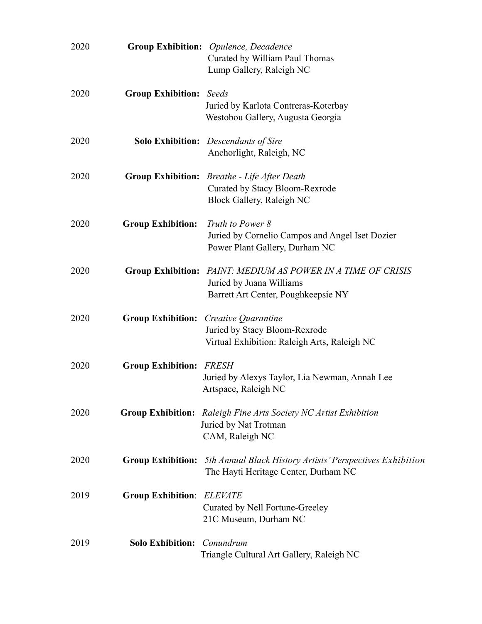| 2020 |                                | Group Exhibition: Opulence, Decadence<br>Curated by William Paul Thomas<br>Lump Gallery, Raleigh NC                        |
|------|--------------------------------|----------------------------------------------------------------------------------------------------------------------------|
| 2020 | <b>Group Exhibition:</b> Seeds | Juried by Karlota Contreras-Koterbay<br>Westobou Gallery, Augusta Georgia                                                  |
| 2020 |                                | <b>Solo Exhibition:</b> Descendants of Sire<br>Anchorlight, Raleigh, NC                                                    |
| 2020 |                                | <b>Group Exhibition:</b> Breathe - Life After Death<br>Curated by Stacy Bloom-Rexrode<br>Block Gallery, Raleigh NC         |
| 2020 | <b>Group Exhibition:</b>       | Truth to Power 8<br>Juried by Cornelio Campos and Angel Iset Dozier<br>Power Plant Gallery, Durham NC                      |
| 2020 | <b>Group Exhibition:</b>       | PAINT: MEDIUM AS POWER IN A TIME OF CRISIS<br>Juried by Juana Williams<br>Barrett Art Center, Poughkeepsie NY              |
| 2020 | <b>Group Exhibition:</b>       | Creative Quarantine<br>Juried by Stacy Bloom-Rexrode<br>Virtual Exhibition: Raleigh Arts, Raleigh NC                       |
| 2020 | <b>Group Exhibition:</b>       | <i>FRESH</i><br>Juried by Alexys Taylor, Lia Newman, Annah Lee<br>Artspace, Raleigh NC                                     |
| 2020 |                                | <b>Group Exhibition:</b> Raleigh Fine Arts Society NC Artist Exhibition<br>Juried by Nat Trotman<br>CAM, Raleigh NC        |
| 2020 |                                | <b>Group Exhibition:</b> 5th Annual Black History Artists' Perspectives Exhibition<br>The Hayti Heritage Center, Durham NC |
| 2019 | <b>Group Exhibition:</b>       | <b>ELEVATE</b><br>Curated by Nell Fortune-Greeley<br>21C Museum, Durham NC                                                 |
| 2019 | <b>Solo Exhibition:</b>        | Conundrum<br>Triangle Cultural Art Gallery, Raleigh NC                                                                     |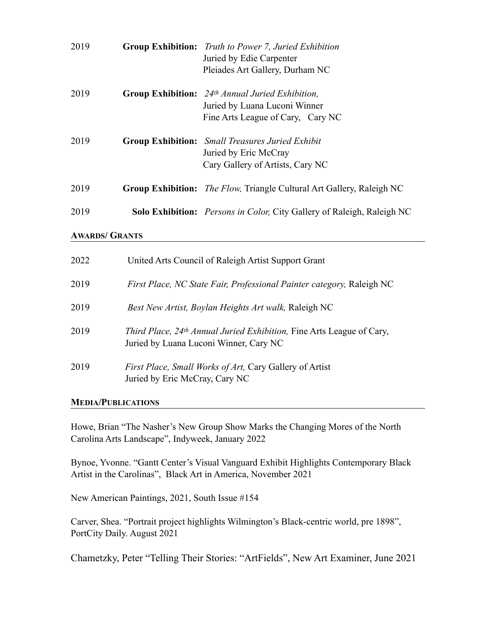| 2019 | <b>Group Exhibition:</b> Truth to Power 7, Juried Exhibition<br>Juried by Edie Carpenter<br>Pleiades Art Gallery, Durham NC                 |
|------|---------------------------------------------------------------------------------------------------------------------------------------------|
| 2019 | <b>Group Exhibition:</b> $24$ <sup>th</sup> Annual Juried Exhibition,<br>Juried by Luana Luconi Winner<br>Fine Arts League of Cary, Cary NC |
| 2019 | <b>Group Exhibition:</b> Small Treasures Juried Exhibit<br>Juried by Eric McCray<br>Cary Gallery of Artists, Cary NC                        |
| 2019 | <b>Group Exhibition:</b> <i>The Flow</i> , Triangle Cultural Art Gallery, Raleigh NC                                                        |
| 2019 | <b>Solo Exhibition:</b> Persons in Color, City Gallery of Raleigh, Raleigh NC                                                               |
|      |                                                                                                                                             |

#### **AWARDS/ GRANTS**

| 2022 | United Arts Council of Raleigh Artist Support Grant                                                                               |
|------|-----------------------------------------------------------------------------------------------------------------------------------|
| 2019 | <i>First Place, NC State Fair, Professional Painter category, Raleigh NC</i>                                                      |
| 2019 | Best New Artist, Boylan Heights Art walk, Raleigh NC                                                                              |
| 2019 | <i>Third Place, 24<sup>th</sup> Annual Juried Exhibition, Fine Arts League of Cary,</i><br>Juried by Luana Luconi Winner, Cary NC |
| 2019 | <i>First Place, Small Works of Art, Cary Gallery of Artist</i><br>Juried by Eric McCray, Cary NC                                  |

### **MEDIA/PUBLICATIONS**

Howe, Brian "The Nasher's New Group Show Marks the Changing Mores of the North Carolina Arts Landscape", Indyweek, January 2022

Bynoe, Yvonne. "Gantt Center's Visual Vanguard Exhibit Highlights Contemporary Black Artist in the Carolinas", Black Art in America, November 2021

New American Paintings, 2021, South Issue #154

Carver, Shea. "Portrait project highlights Wilmington's Black-centric world, pre 1898", PortCity Daily. August 2021

Chametzky, Peter "Telling Their Stories: "ArtFields", New Art Examiner, June 2021